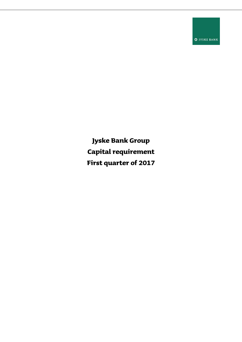**O** JYSKE BANK

**Jyske Bank Group Capital requirement First quarter of 2017**